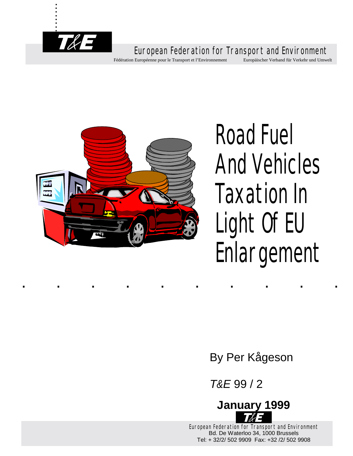

. . . . . .

..........



# Road Fuel And Vehicles Taxation In Light Of EU Enlargement

By Per Kågeson

*T&E* 99 / 2



European Federation for Transport and Environment Bd. De Waterloo 34, 1000 Brussels Tel: + 32/2/ 502 9909 Fax: +32 /2/ 502 9908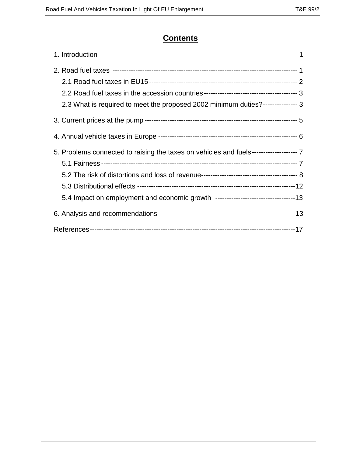## **Contents**

| 2.3 What is required to meet the proposed 2002 minimum duties?--------------- 3        |  |
|----------------------------------------------------------------------------------------|--|
|                                                                                        |  |
|                                                                                        |  |
| 5. Problems connected to raising the taxes on vehicles and fuels-------------------- 7 |  |
|                                                                                        |  |
|                                                                                        |  |
|                                                                                        |  |
|                                                                                        |  |
|                                                                                        |  |
|                                                                                        |  |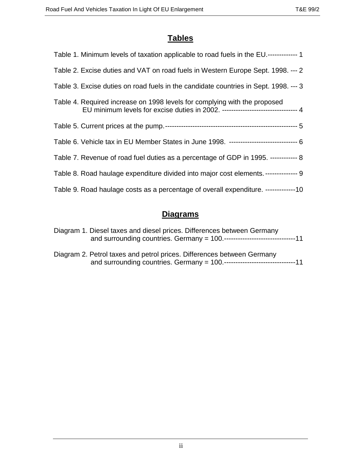# **Tables**

| Table 1. Minimum levels of taxation applicable to road fuels in the EU.------------- 1                                                                       |
|--------------------------------------------------------------------------------------------------------------------------------------------------------------|
| Table 2. Excise duties and VAT on road fuels in Western Europe Sept. 1998. --- 2                                                                             |
| Table 3. Excise duties on road fuels in the candidate countries in Sept. 1998. --- 3                                                                         |
| Table 4. Required increase on 1998 levels for complying with the proposed<br>EU minimum levels for excise duties in 2002. -------------------------------- 4 |
|                                                                                                                                                              |
| Table 6. Vehicle tax in EU Member States in June 1998. ------------------------------ 6                                                                      |
| Table 7. Revenue of road fuel duties as a percentage of GDP in 1995. ------------ 8                                                                          |
| Table 8. Road haulage expenditure divided into major cost elements. ------------- 9                                                                          |
| Table 9. Road haulage costs as a percentage of overall expenditure. -------------10                                                                          |

# **Diagrams**

| Diagram 1. Diesel taxes and diesel prices. Differences between Germany |
|------------------------------------------------------------------------|
| Diagram 2. Petrol taxes and petrol prices. Differences between Germany |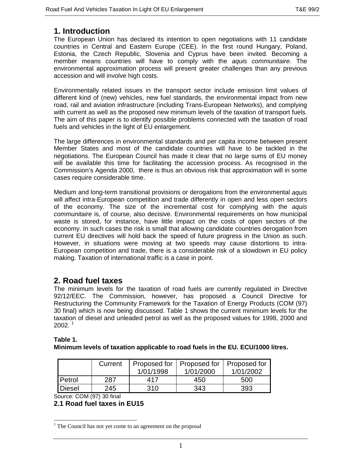## **1. Introduction**

The European Union has declared its intention to open negotiations with 11 candidate countries in Central and Eastern Europe (CEE). In the first round Hungary, Poland, Estonia, the Czech Republic, Slovenia and Cyprus have been invited. Becoming a member means countries will have to comply with the *aquis communitaire*. The environmental approximation process will present greater challenges than any previous accession and will involve high costs.

Environmentally related issues in the transport sector include emission limit values of different kind of (new) vehicles, new fuel standards, the environmental impact from new road, rail and aviation infrastructure (including Trans-European Networks), and complying with current as well as the proposed new minimum levels of the taxation of transport fuels. The aim of this paper is to identify possible problems connected with the taxation of road fuels and vehicles in the light of EU enlargement.

The large differences in environmental standards and per capita income between present Member States and most of the candidate countries will have to be tackled in the negotiations. The European Council has made it clear that no large sums of EU money will be available this time for facilitating the accession process. As recognised in the Commission's Agenda 2000, there is thus an obvious risk that approximation will in some cases require considerable time.

Medium and long-term transitional provisions or derogations from the environmental *aquis* will affect intra-European competition and trade differently in open and less open sectors of the economy. The size of the incremental cost for complying with the *aquis communitaire* is, of course, also decisive. Environmental requirements on how municipal waste is stored, for instance, have little impact on the costs of open sectors of the economy. In such cases the risk is small that allowing candidate countries derogation from current EU directives will hold back the speed of future progress in the Union as such. However, in situations were moving at two speeds may cause distortions to intra-European competition and trade, there is a considerable risk of a slowdown in EU policy making. Taxation of international traffic is a case in point.

## **2. Road fuel taxes**

The minimum levels for the taxation of road fuels are currently regulated in Directive 92/12/EEC. The Commission, however, has proposed a Council Directive for Restructuring the Community Framework for the Taxation of Energy Products (COM (97) 30 final) which is now being discussed. Table 1 shows the current minimum levels for the taxation of diesel and unleaded petrol as well as the proposed values for 1998, 2000 and  $2002.<sup>1</sup>$ 

#### **Table 1.**

 $\overline{a}$ 

**Minimum levels of taxation applicable to road fuels in the EU. ECU/1000 litres.**

|               | Current |           | Proposed for   Proposed for   Proposed for |           |
|---------------|---------|-----------|--------------------------------------------|-----------|
|               |         | 1/01/1998 | 1/01/2000                                  | 1/01/2002 |
| l Petrol      | 287     | 417       | 450                                        | 500       |
| <b>Diesel</b> | 245     | 310       | 343                                        | 393       |

Source: COM (97) 30 final

#### **2.1 Road fuel taxes in EU15**

 $<sup>1</sup>$  The Council has not yet come to an agreement on the proposal</sup>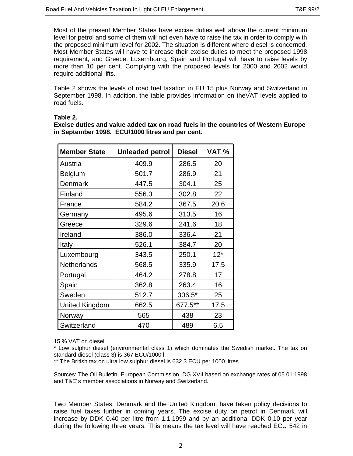Most of the present Member States have excise duties well above the current minimum level for petrol and some of them will not even have to raise the tax in order to comply with the proposed minimum level for 2002. The situation is different where diesel is concerned. Most Member States will have to increase their excise duties to meet the proposed 1998 requirement, and Greece, Luxembourg, Spain and Portugal will have to raise levels by more than 10 per cent. Complying with the proposed levels for 2000 and 2002 would require additional lifts.

Table 2 shows the levels of road fuel taxation in EU 15 plus Norway and Switzerland in September 1998. In addition, the table provides information on theVAT levels applied to road fuels.

#### **Table 2.**

**Excise duties and value added tax on road fuels in the countries of Western Europe in September 1998. ECU/1000 litres and per cent.**

| <b>Member State</b>   | <b>Unleaded petrol</b> | <b>Diesel</b> | VAT%  |
|-----------------------|------------------------|---------------|-------|
| Austria               | 409.9                  | 286.5         | 20    |
| <b>Belgium</b>        | 501.7                  | 286.9         | 21    |
| <b>Denmark</b>        | 447.5                  | 304.1         | 25    |
| Finland               | 556.3                  | 302.8         | 22    |
| France                | 584.2                  | 367.5         | 20.6  |
| Germany               | 495.6                  | 313.5         | 16    |
| Greece                | 329.6                  | 241.6         | 18    |
| Ireland               | 386.0                  | 336.4         | 21    |
| Italy                 | 526.1                  | 384.7         | 20    |
| Luxembourg            | 343.5                  | 250.1         | $12*$ |
| <b>Netherlands</b>    | 568.5                  | 335.9         | 17.5  |
| Portugal              | 464.2                  | 278.8         | 17    |
| Spain                 | 362.8                  | 263.4         | 16    |
| Sweden                | 512.7                  | 306.5*        | 25    |
| <b>United Kingdom</b> | 662.5                  | 677.5**       | 17.5  |
| Norway                | 565                    | 438           | 23    |
| Switzerland           | 470                    | 489           | 6.5   |

15 % VAT on diesel.

\* Low sulphur diesel (environmental class 1) which dominates the Swedish market. The tax on standard diesel (class 3) is 367 ECU/1000 l.

\*\* The British tax on ultra low sulphur diesel is 632.3 ECU per 1000 litres.

Sources: The Oil Bulletin, European Commission, DG XVII based on exchange rates of 05.01.1998 and T&E´s member associations in Norway and Switzerland.

Two Member States, Denmark and the United Kingdom, have taken policy decisions to raise fuel taxes further in coming years. The excise duty on petrol in Denmark will increase by DDK 0.40 per litre from 1.1.1999 and by an additional DDK 0.10 per year during the following three years. This means the tax level will have reached ECU 542 in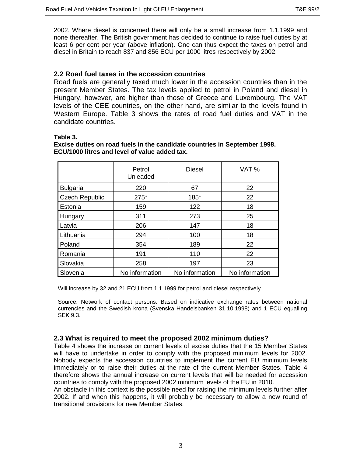2002. Where diesel is concerned there will only be a small increase from 1.1.1999 and none thereafter. The British government has decided to continue to raise fuel duties by at least 6 per cent per year (above inflation). One can thus expect the taxes on petrol and diesel in Britain to reach 837 and 856 ECU per 1000 litres respectively by 2002.

#### **2.2 Road fuel taxes in the accession countries**

Road fuels are generally taxed much lower in the accession countries than in the present Member States. The tax levels applied to petrol in Poland and diesel in Hungary, however, are higher than those of Greece and Luxembourg. The VAT levels of the CEE countries, on the other hand, are similar to the levels found in Western Europe. Table 3 shows the rates of road fuel duties and VAT in the candidate countries.

#### **Table 3.**

|                       | Petrol<br>Unleaded | <b>Diesel</b>  | VAT%           |
|-----------------------|--------------------|----------------|----------------|
| <b>Bulgaria</b>       | 220                | 67             | 22             |
| <b>Czech Republic</b> | 275*<br>185*       |                | 22             |
| Estonia               | 159                | 122            | 18             |
| Hungary               | 311                | 273            | 25             |
| Latvia                | 206                | 147            | 18             |
| Lithuania             | 294                | 100            | 18             |
| Poland                | 354                | 189            | 22             |
| Romania               | 191                | 110            | 22             |
| Slovakia              | 258                | 197            | 23             |
| Slovenia              | No information     | No information | No information |

**Excise duties on road fuels in the candidate countries in September 1998. ECU/1000 litres and level of value added tax.**

Will increase by 32 and 21 ECU from 1.1.1999 for petrol and diesel respectively.

Source: Network of contact persons. Based on indicative exchange rates between national currencies and the Swedish krona (Svenska Handelsbanken 31.10.1998) and 1 ECU equalling SEK 9.3.

#### **2.3 What is required to meet the proposed 2002 minimum duties?**

Table 4 shows the increase on current levels of excise duties that the 15 Member States will have to undertake in order to comply with the proposed minimum levels for 2002. Nobody expects the accession countries to implement the current EU minimum levels immediately or to raise their duties at the rate of the current Member States. Table 4 therefore shows the annual increase on current levels that will be needed for accession countries to comply with the proposed 2002 minimum levels of the EU in 2010.

An obstacle in this context is the possible need for raising the minimum levels further after 2002. If and when this happens, it will probably be necessary to allow a new round of transitional provisions for new Member States.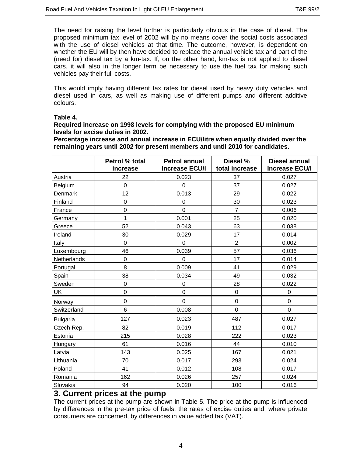The need for raising the level further is particularly obvious in the case of diesel. The proposed minimum tax level of 2002 will by no means cover the social costs associated with the use of diesel vehicles at that time. The outcome, however, is dependent on whether the EU will by then have decided to replace the annual vehicle tax and part of the (need for) diesel tax by a km-tax. If, on the other hand, km-tax is not applied to diesel cars, it will also in the longer term be necessary to use the fuel tax for making such vehicles pay their full costs.

This would imply having different tax rates for diesel used by heavy duty vehicles and diesel used in cars, as well as making use of different pumps and different additive colours.

#### **Table 4.**

#### **Required increase on 1998 levels for complying with the proposed EU minimum levels for excise duties in 2002.**

**Percentage increase and annual increase in ECU/litre when equally divided over the remaining years until 2002 for present members and until 2010 for candidates.**

|                 | Petrol % total<br>increase | <b>Petrol annual</b><br>Diesel %<br><b>Increase ECU/I</b><br>total increase |                | <b>Diesel annual</b><br><b>Increase ECU/I</b> |
|-----------------|----------------------------|-----------------------------------------------------------------------------|----------------|-----------------------------------------------|
| Austria         | 22                         | 0.023                                                                       | 37             | 0.027                                         |
| Belgium         | $\mathbf 0$                | $\mathbf 0$                                                                 | 37             | 0.027                                         |
| Denmark         | 12                         | 0.013                                                                       | 29             | 0.022                                         |
| Finland         | $\overline{0}$             | $\mathbf 0$                                                                 | 30             | 0.023                                         |
| France          | $\mathbf 0$                | 0                                                                           | $\overline{7}$ | 0.006                                         |
| Germany         | 1                          | 0.001                                                                       | 25             | 0.020                                         |
| Greece          | 52                         | 0.043                                                                       | 63             | 0.038                                         |
| Ireland         | 30                         | 0.029                                                                       | 17             | 0.014                                         |
| Italy           | $\mathbf 0$                | 0                                                                           | $\overline{2}$ | 0.002                                         |
| Luxembourg      | 46                         | 0.039                                                                       | 57             | 0.036                                         |
| Netherlands     | $\mathbf 0$                | 0                                                                           | 17             | 0.014                                         |
| Portugal        | 8                          | 0.009                                                                       | 41             | 0.029                                         |
| Spain           | 38                         | 0.034                                                                       | 49             | 0.032                                         |
| Sweden          | $\mathbf 0$                | 0                                                                           | 28             | 0.022                                         |
| UK              | $\overline{0}$             | $\mathbf 0$                                                                 | $\mathbf 0$    | $\mathbf 0$                                   |
| Norway          | $\overline{0}$             | $\overline{0}$                                                              | $\mathbf 0$    | $\overline{0}$                                |
| Switzerland     | 6                          | 0.008                                                                       | $\overline{0}$ | $\mathbf 0$                                   |
| <b>Bulgaria</b> | 127                        | 0.023                                                                       | 487            | 0.027                                         |
| Czech Rep.      | 82                         | 0.019                                                                       | 112            | 0.017                                         |
| Estonia         | 215                        | 0.028                                                                       | 222            | 0.023                                         |
| Hungary         | 61                         | 0.016                                                                       | 44             | 0.010                                         |
| Latvia          | 143                        | 0.025                                                                       | 167            | 0.021                                         |
| Lithuania       | 70                         | 0.017                                                                       | 293            |                                               |
| Poland          | 41                         | 0.012                                                                       | 108            | 0.017                                         |
| Romania         | 162                        | 0.026                                                                       | 257            | 0.024                                         |
| Slovakia        | 94                         | 0.020                                                                       | 100            | 0.016                                         |

## **3. Current prices at the pump**

The current prices at the pump are shown in Table 5. The price at the pump is influenced by differences in the pre-tax price of fuels, the rates of excise duties and, where private consumers are concerned, by differences in value added tax (VAT).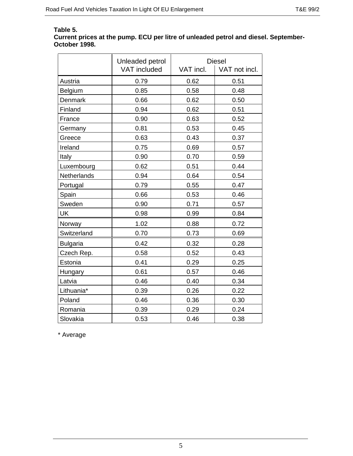## **Table 5.**

#### **Current prices at the pump. ECU per litre of unleaded petrol and diesel. September-October 1998.**

|                 | Unleaded petrol     | <b>Diesel</b> |               |  |
|-----------------|---------------------|---------------|---------------|--|
|                 | <b>VAT</b> included | VAT incl.     | VAT not incl. |  |
| Austria         | 0.79                | 0.62          | 0.51          |  |
| Belgium         | 0.85                | 0.58          | 0.48          |  |
| <b>Denmark</b>  | 0.66                | 0.62          | 0.50          |  |
| Finland         | 0.94                | 0.62          | 0.51          |  |
| France          | 0.90                | 0.63          | 0.52          |  |
| Germany         | 0.81                | 0.53          | 0.45          |  |
| Greece          | 0.63                | 0.43          | 0.37          |  |
| Ireland         | 0.75                | 0.69          | 0.57          |  |
| Italy           | 0.90                | 0.70          | 0.59          |  |
| Luxembourg      | 0.62                | 0.51          | 0.44          |  |
| Netherlands     | 0.94                | 0.64          | 0.54          |  |
| Portugal        | 0.79                | 0.55          | 0.47          |  |
| Spain           | 0.66                | 0.53          | 0.46          |  |
| Sweden          | 0.90                | 0.71          | 0.57          |  |
| UK              | 0.98                | 0.99          | 0.84          |  |
| Norway          | 1.02                | 0.88          | 0.72          |  |
| Switzerland     | 0.70                | 0.73          | 0.69          |  |
| <b>Bulgaria</b> | 0.42                | 0.32          | 0.28          |  |
| Czech Rep.      | 0.58                | 0.52          | 0.43          |  |
| Estonia         | 0.41                | 0.29          | 0.25          |  |
| Hungary         | 0.61                | 0.57          | 0.46          |  |
| Latvia          | 0.46                | 0.40          | 0.34          |  |
| Lithuania*      | 0.39                | 0.26          | 0.22          |  |
| Poland          | 0.46                | 0.36          | 0.30          |  |
| Romania         | 0.39                | 0.29          | 0.24          |  |
| Slovakia        | 0.53                | 0.46          | 0.38          |  |

\* Average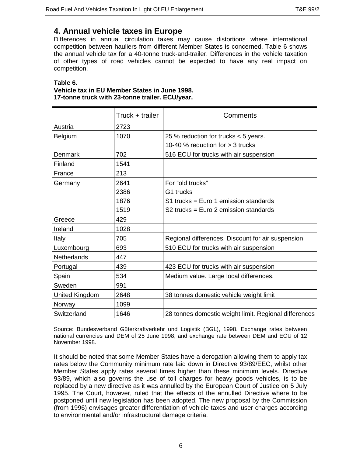## **4. Annual vehicle taxes in Europe**

Differences in annual circulation taxes may cause distortions where international competition between hauliers from different Member States is concerned. Table 6 shows the annual vehicle tax for a 40-tonne truck-and-trailer. Differences in the vehicle taxation of other types of road vehicles cannot be expected to have any real impact on competition.

#### **Table 6.**

#### **Vehicle tax in EU Member States in June 1998. 17-tonne truck with 23-tonne trailer. ECU/year.**

|                    | Truck + trailer | Comments                                              |  |  |
|--------------------|-----------------|-------------------------------------------------------|--|--|
| Austria            | 2723            |                                                       |  |  |
| Belgium            | 1070            | 25 % reduction for trucks $<$ 5 years.                |  |  |
|                    |                 | 10-40 % reduction for $>$ 3 trucks                    |  |  |
| <b>Denmark</b>     | 702             | 516 ECU for trucks with air suspension                |  |  |
| Finland            | 1541            |                                                       |  |  |
| France             | 213             |                                                       |  |  |
| Germany            | 2641            | For "old trucks"                                      |  |  |
|                    | 2386            | G1 trucks                                             |  |  |
|                    | 1876            | S1 trucks = Euro 1 emission standards                 |  |  |
|                    | 1519            | S2 trucks = Euro 2 emission standards                 |  |  |
| Greece             | 429             |                                                       |  |  |
| Ireland            | 1028            |                                                       |  |  |
| Italy              | 705             | Regional differences. Discount for air suspension     |  |  |
| Luxembourg         | 693             | 510 ECU for trucks with air suspension                |  |  |
| <b>Netherlands</b> | 447             |                                                       |  |  |
| Portugal           | 439             | 423 ECU for trucks with air suspension                |  |  |
| Spain              | 534             | Medium value. Large local differences.                |  |  |
| Sweden             | 991             |                                                       |  |  |
| United Kingdom     | 2648            | 38 tonnes domestic vehicle weight limit               |  |  |
| Norway             | 1099            |                                                       |  |  |
| Switzerland        | 1646            | 28 tonnes domestic weight limit. Regional differences |  |  |

Source: Bundesverband Güterkraftverkehr und Logistik (BGL), 1998. Exchange rates between national currencies and DEM of 25 June 1998, and exchange rate between DEM and ECU of 12 November 1998.

It should be noted that some Member States have a derogation allowing them to apply tax rates below the Community minimum rate laid down in Directive 93/89/EEC, whilst other Member States apply rates several times higher than these minimum levels. Directive 93/89, which also governs the use of toll charges for heavy goods vehicles, is to be replaced by a new directive as it was annulled by the European Court of Justice on 5 July 1995. The Court, however, ruled that the effects of the annulled Directive where to be postponed until new legislation has been adopted. The new proposal by the Commission (from 1996) envisages greater differentiation of vehicle taxes and user charges according to environmental and/or infrastructural damage criteria.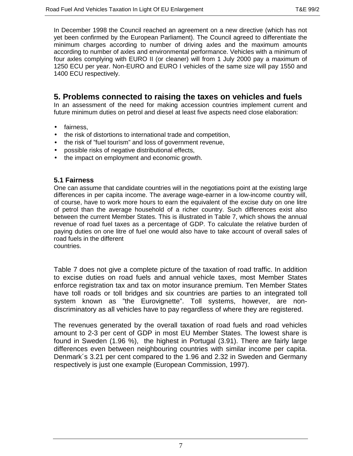In December 1998 the Council reached an agreement on a new directive (which has not yet been confirmed by the European Parliament). The Council agreed to differentiate the minimum charges according to number of driving axles and the maximum amounts according to number of axles and environmental performance. Vehicles with a minimum of four axles complying with EURO II (or cleaner) will from 1 July 2000 pay a maximum of 1250 ECU per year. Non-EURO and EURO I vehicles of the same size will pay 1550 and 1400 ECU respectively.

## **5. Problems connected to raising the taxes on vehicles and fuels**

In an assessment of the need for making accession countries implement current and future minimum duties on petrol and diesel at least five aspects need close elaboration:

- fairness,
- the risk of distortions to international trade and competition,
- the risk of "fuel tourism" and loss of government revenue,
- possible risks of negative distributional effects,
- the impact on employment and economic growth.

#### **5.1 Fairness**

One can assume that candidate countries will in the negotiations point at the existing large differences in per capita income. The average wage-earner in a low-income country will, of course, have to work more hours to earn the equivalent of the excise duty on one litre of petrol than the average household of a richer country. Such differences exist also between the current Member States. This is illustrated in Table 7, which shows the annual revenue of road fuel taxes as a percentage of GDP. To calculate the relative burden of paying duties on one litre of fuel one would also have to take account of overall sales of road fuels in the different countries.

Table 7 does not give a complete picture of the taxation of road traffic. In addition to excise duties on road fuels and annual vehicle taxes, most Member States enforce registration tax and tax on motor insurance premium. Ten Member States have toll roads or toll bridges and six countries are parties to an integrated toll system known as "the Eurovignette". Toll systems, however, are nondiscriminatory as all vehicles have to pay regardless of where they are registered.

The revenues generated by the overall taxation of road fuels and road vehicles amount to 2-3 per cent of GDP in most EU Member States. The lowest share is found in Sweden (1.96 %), the highest in Portugal (3.91). There are fairly large differences even between neighbouring countries with similar income per capita. Denmark´s 3.21 per cent compared to the 1.96 and 2.32 in Sweden and Germany respectively is just one example (European Commission, 1997).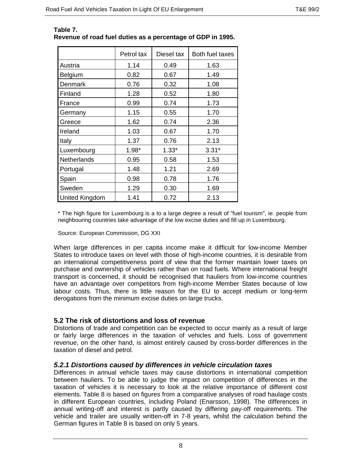|                       | Petrol tax | Diesel tax | Both fuel taxes |
|-----------------------|------------|------------|-----------------|
| Austria               | 1.14       | 0.49       | 1.63            |
| Belgium               | 0.82       | 0.67       | 1.49            |
| Denmark               | 0.76       | 0.32       | 1.08            |
| Finland               | 1.28       | 0.52       | 1.80            |
| France                | 0.99       | 0.74       | 1.73            |
| Germany               | 1.15       | 0.55       | 1.70            |
| Greece                | 1.62       | 0.74       | 2.36            |
| Ireland               | 1.03       | 0.67       | 1.70            |
| Italy                 | 1.37       | 0.76       | 2.13            |
| Luxembourg            | 1.98*      | $1.33*$    | $3.31*$         |
| <b>Netherlands</b>    | 0.95       | 0.58       | 1.53            |
| Portugal              | 1.48       | 1.21       | 2.69            |
| Spain                 | 0.98       | 0.78       | 1.76            |
| Sweden                | 1.29       | 0.30       | 1.69            |
| <b>United Kingdom</b> | 1.41       | 0.72       | 2.13            |

#### **Table 7. Revenue of road fuel duties as a percentage of GDP in 1995.**

\* The high figure for Luxembourg is a to a large degree a result of "fuel tourism", ie. people from neighbouring countries take advantage of the low excise duties and fill up in Luxembourg.

Source: European Commission, DG XXI

When large differences in per capita income make it difficult for low-income Member States to introduce taxes on level with those of high-income countries, it is desirable from an international competitiveness point of view that the former maintain lower taxes on purchase and ownership of vehicles rather than on road fuels. Where international freight transport is concerned, it should be recognised that hauliers from low-income countries have an advantage over competitors from high-income Member States because of low labour costs. Thus, there is little reason for the EU to accept medium or long-term derogations from the minimum excise duties on large trucks.

## **5.2 The risk of distortions and loss of revenue**

Distortions of trade and competition can be expected to occur mainly as a result of large or fairly large differences in the taxation of vehicles and fuels. Loss of government revenue, on the other hand, is almost entirely caused by cross-border differences in the taxation of diesel and petrol.

#### *5.2.1 Distortions caused by differences in vehicle circulation taxes*

Differences in annual vehicle taxes may cause distortions in international competition between hauliers. To be able to judge the impact on competition of differences in the taxation of vehicles it is necessary to look at the relative importance of different cost elements. Table 8 is based on figures from a comparative analyses of road haulage costs in different European countries, including Poland (Enarsson, 1998). The differences in annual writing-off and interest is partly caused by differing pay-off requirements. The vehicle and trailer are usually written-off in 7-8 years, whilst the calculation behind the German figures in Table 8 is based on only 5 years.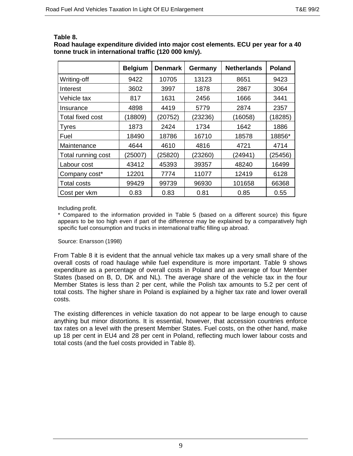**Road haulage expenditure divided into major cost elements. ECU per year for a 40 tonne truck in international traffic (120 000 km/y).**

|                    | <b>Belgium</b> | <b>Denmark</b> | Germany | <b>Netherlands</b> | <b>Poland</b> |
|--------------------|----------------|----------------|---------|--------------------|---------------|
| Writing-off        | 9422           | 10705          | 13123   | 8651               | 9423          |
| Interest           | 3602           | 3997           | 1878    | 2867               | 3064          |
| Vehicle tax        | 817            | 1631           | 2456    | 1666               | 3441          |
| Insurance          | 4898           | 4419           | 5779    | 2874               | 2357          |
| Total fixed cost   | (18809)        | (20752)        | (23236) | (16058)            | (18285)       |
| <b>Tyres</b>       | 1873           | 2424           | 1734    | 1642               | 1886          |
| Fuel               | 18490          | 18786          | 16710   | 18578              | 18856*        |
| Maintenance        | 4644           | 4610           | 4816    | 4721               | 4714          |
| Total running cost | (25007)        | (25820)        | (23260) | (24941)            | (25456)       |
| Labour cost        | 43412          | 45393          | 39357   | 48240              | 16499         |
| Company cost*      | 12201          | 7774           | 11077   | 12419              | 6128          |
| <b>Total costs</b> | 99429          | 99739          | 96930   | 101658             | 66368         |
| Cost per vkm       | 0.83           | 0.83           | 0.81    | 0.85               | 0.55          |

#### Including profit.

\* Compared to the information provided in Table 5 (based on a different source) this figure appears to be too high even if part of the difference may be explained by a comparatively high specific fuel consumption and trucks in international traffic filling up abroad.

#### Source: Enarsson (1998)

From Table 8 it is evident that the annual vehicle tax makes up a very small share of the overall costs of road haulage while fuel expenditure is more important. Table 9 shows expenditure as a percentage of overall costs in Poland and an average of four Member States (based on B, D, DK and NL). The average share of the vehicle tax in the four Member States is less than 2 per cent, while the Polish tax amounts to 5.2 per cent of total costs. The higher share in Poland is explained by a higher tax rate and lower overall costs.

The existing differences in vehicle taxation do not appear to be large enough to cause anything but minor distortions. It is essential, however, that accession countries enforce tax rates on a level with the present Member States. Fuel costs, on the other hand, make up 18 per cent in EU4 and 28 per cent in Poland, reflecting much lower labour costs and total costs (and the fuel costs provided in Table 8).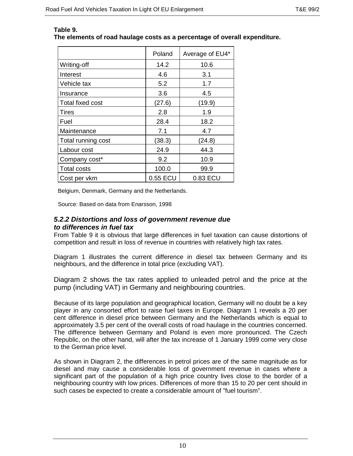|                         | Poland   | Average of EU4* |
|-------------------------|----------|-----------------|
| Writing-off             | 14.2     | 10.6            |
| Interest                | 4.6      | 3.1             |
| Vehicle tax             | 5.2      | 1.7             |
| Insurance               | 3.6      | 4.5             |
| <b>Total fixed cost</b> | (27.6)   | (19.9)          |
| Tires                   | 2.8      | 1.9             |
| Fuel                    | 28.4     | 18.2            |
| Maintenance             | 7.1      | 4.7             |
| Total running cost      | (38.3)   | (24.8)          |
| Labour cost             | 24.9     | 44.3            |
| Company cost*           | 9.2      | 10.9            |
| <b>Total costs</b>      | 100.0    | 99.9            |
| Cost per vkm            | 0.55 ECU | 0.83 ECU        |

#### **Table 9. The elements of road haulage costs as a percentage of overall expenditure.**

Belgium, Denmark, Germany and the Netherlands.

Source: Based on data from Enarsson, 1998

#### *5.2.2 Distortions and loss of government revenue due to differences in fuel tax*

From Table 9 it is obvious that large differences in fuel taxation can cause distortions of competition and result in loss of revenue in countries with relatively high tax rates.

Diagram 1 illustrates the current difference in diesel tax between Germany and its neighbours, and the difference in total price (excluding VAT).

Diagram 2 shows the tax rates applied to unleaded petrol and the price at the pump (including VAT) in Germany and neighbouring countries.

Because of its large population and geographical location, Germany will no doubt be a key player in any consorted effort to raise fuel taxes in Europe. Diagram 1 reveals a 20 per cent difference in diesel price between Germany and the Netherlands which is equal to approximately 3.5 per cent of the overall costs of road haulage in the countries concerned. The difference between Germany and Poland is even more pronounced. The Czech Republic, on the other hand, will after the tax increase of 1 January 1999 come very close to the German price level.

As shown in Diagram 2, the differences in petrol prices are of the same magnitude as for diesel and may cause a considerable loss of government revenue in cases where a significant part of the population of a high price country lives close to the border of a neighbouring country with low prices. Differences of more than 15 to 20 per cent should in such cases be expected to create a considerable amount of "fuel tourism".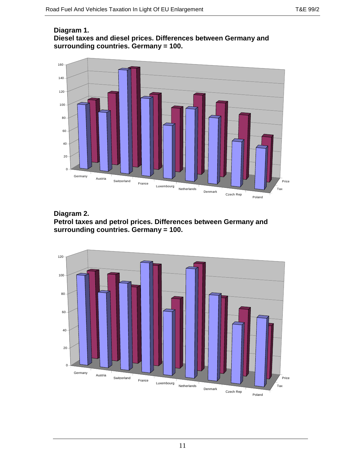#### **Diagram 1. Diesel taxes and diesel prices. Differences between Germany and surrounding countries. Germany = 100.**





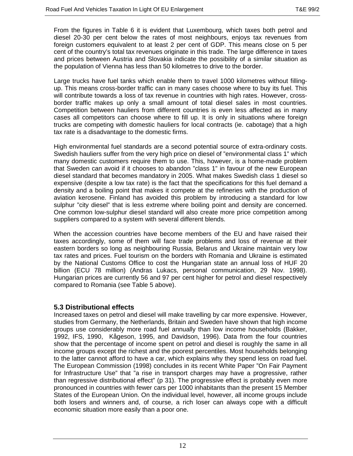From the figures in Table 6 it is evident that Luxembourg, which taxes both petrol and diesel 20-30 per cent below the rates of most neighbours, enjoys tax revenues from foreign customers equivalent to at least 2 per cent of GDP. This means close on 5 per cent of the country's total tax revenues originate in this trade. The large difference in taxes and prices between Austria and Slovakia indicate the possibility of a similar situation as the population of Vienna has less than 50 kilometres to drive to the border.

Large trucks have fuel tanks which enable them to travel 1000 kilometres without fillingup. This means cross-border traffic can in many cases choose where to buy its fuel. This will contribute towards a loss of tax revenue in countries with high rates. However, crossborder traffic makes up only a small amount of total diesel sales in most countries. Competition between hauliers from different countries is even less affected as in many cases all competitors can choose where to fill up. It is only in situations where foreign trucks are competing with domestic hauliers for local contracts (ie. cabotage) that a high tax rate is a disadvantage to the domestic firms.

High environmental fuel standards are a second potential source of extra-ordinary costs. Swedish hauliers suffer from the very high price on diesel of "environmental class 1" which many domestic customers require them to use. This, however, is a home-made problem that Sweden can avoid if it chooses to abandon "class 1" in favour of the new European diesel standard that becomes mandatory in 2005. What makes Swedish class 1 diesel so expensive (despite a low tax rate) is the fact that the specifications for this fuel demand a density and a boiling point that makes it compete at the refineries with the production of aviation kerosene. Finland has avoided this problem by introducing a standard for low sulphur "city diesel" that is less extreme where boiling point and density are concerned. One common low-sulphur diesel standard will also create more price competition among suppliers compared to a system with several different blends.

When the accession countries have become members of the EU and have raised their taxes accordingly, some of them will face trade problems and loss of revenue at their eastern borders so long as neighbouring Russia, Belarus and Ukraine maintain very low tax rates and prices. Fuel tourism on the borders with Romania and Ukraine is estimated by the National Customs Office to cost the Hungarian state an annual loss of HUF 20 billion (ECU 78 million) (Andras Lukacs, personal communication, 29 Nov. 1998). Hungarian prices are currently 56 and 97 per cent higher for petrol and diesel respectively compared to Romania (see Table 5 above).

#### **5.3 Distributional effects**

Increased taxes on petrol and diesel will make travelling by car more expensive. However, studies from Germany, the Netherlands, Britain and Sweden have shown that high income groups use considerably more road fuel annually than low income households (Bakker, 1992, IFS, 1990, Kågeson, 1995, and Davidson, 1996). Data from the four countries show that the percentage of income spent on petrol and diesel is roughly the same in all income groups except the richest and the poorest percentiles. Most households belonging to the latter cannot afford to have a car, which explains why they spend less on road fuel. The European Commission (1998) concludes in its recent White Paper "On Fair Payment for Infrastructure Use" that "a rise in transport charges may have a progressive, rather than regressive distributional effect" (p 31). The progressive effect is probably even more pronounced in countries with fewer cars per 1000 inhabitants than the present 15 Member States of the European Union. On the individual level, however, all income groups include both losers and winners and, of course, a rich loser can always cope with a difficult economic situation more easily than a poor one.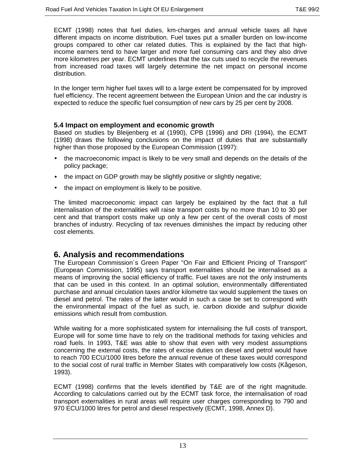ECMT (1998) notes that fuel duties, km-charges and annual vehicle taxes all have different impacts on income distribution. Fuel taxes put a smaller burden on low-income groups compared to other car related duties. This is explained by the fact that highincome earners tend to have larger and more fuel consuming cars and they also drive more kilometres per year. ECMT underlines that the tax cuts used to recycle the revenues from increased road taxes will largely determine the net impact on personal income distribution.

In the longer term higher fuel taxes will to a large extent be compensated for by improved fuel efficiency. The recent agreement between the European Union and the car industry is expected to reduce the specific fuel consumption of new cars by 25 per cent by 2008.

#### **5.4 Impact on employment and economic growth**

Based on studies by Bleijenberg et al (1990), CPB (1996) and DRI (1994), the ECMT (1998) draws the following conclusions on the impact of duties that are substantially higher than those proposed by the European Commission (1997):

- the macroeconomic impact is likely to be very small and depends on the details of the policy package;
- the impact on GDP growth may be slightly positive or slightly negative;
- the impact on employment is likely to be positive.

The limited macroeconomic impact can largely be explained by the fact that a full internalisation of the externalities will raise transport costs by no more than 10 to 30 per cent and that transport costs make up only a few per cent of the overall costs of most branches of industry. Recycling of tax revenues diminishes the impact by reducing other cost elements.

## **6. Analysis and recommendations**

The European Commission´s Green Paper "On Fair and Efficient Pricing of Transport" (European Commission, 1995) says transport externalities should be internalised as a means of improving the social efficiency of traffic. Fuel taxes are not the only instruments that can be used in this context. In an optimal solution, environmentally differentiated purchase and annual circulation taxes and/or kilometre tax would supplement the taxes on diesel and petrol. The rates of the latter would in such a case be set to correspond with the environmental impact of the fuel as such, ie. carbon dioxide and sulphur dioxide emissions which result from combustion.

While waiting for a more sophisticated system for internalising the full costs of transport, Europe will for some time have to rely on the traditional methods for taxing vehicles and road fuels. In 1993, T&E was able to show that even with very modest assumptions concerning the external costs, the rates of excise duties on diesel and petrol would have to reach 700 ECU/1000 litres before the annual revenue of these taxes would correspond to the social cost of rural traffic in Member States with comparatively low costs (Kågeson, 1993).

ECMT (1998) confirms that the levels identified by T&E are of the right magnitude. According to calculations carried out by the ECMT task force, the internalisation of road transport externalities in rural areas will require user charges corresponding to 790 and 970 ECU/1000 litres for petrol and diesel respectively (ECMT, 1998, Annex D).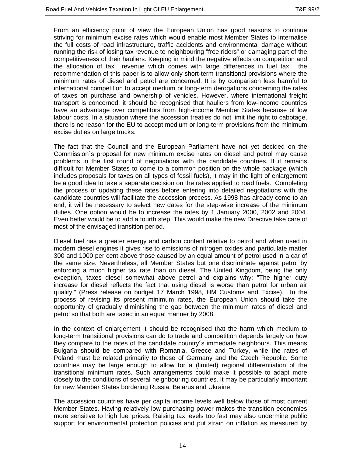From an efficiency point of view the European Union has good reasons to continue striving for minimum excise rates which would enable most Member States to internalise the full costs of road infrastructure, traffic accidents and environmental damage without running the risk of losing tax revenue to neighbouring "free riders" or damaging part of the competitiveness of their hauliers. Keeping in mind the negative effects on competition and the allocation of tax revenue which comes with large differences in fuel tax, the recommendation of this paper is to allow only short-term transitional provisions where the minimum rates of diesel and petrol are concerned. It is by comparison less harmful to international competition to accept medium or long-term derogations concerning the rates of taxes on purchase and ownership of vehicles. However, where international freight transport is concerned, it should be recognised that hauliers from low-income countries have an advantage over competitors from high-income Member States because of low labour costs. In a situation where the accession treaties do not limit the right to cabotage, there is no reason for the EU to accept medium or long-term provisions from the minimum excise duties on large trucks.

The fact that the Council and the European Parliament have not yet decided on the Commission´s proposal for new minimum excise rates on diesel and petrol may cause problems in the first round of negotiations with the candidate countries. If it remains difficult for Member States to come to a common position on the whole package (which includes proposals for taxes on all types of fossil fuels), it may in the light of enlargement be a good idea to take a separate decision on the rates applied to road fuels. Completing the process of updating these rates before entering into detailed negotiations with the candidate countries will facilitate the accession process. As 1998 has already come to an end, it will be necessary to select new dates for the step-wise increase of the minimum duties. One option would be to increase the rates by 1 January 2000, 2002 and 2004. Even better would be to add a fourth step. This would make the new Directive take care of most of the envisaged transition period.

Diesel fuel has a greater energy and carbon content relative to petrol and when used in modern diesel engines it gives rise to emissions of nitrogen oxides and particulate matter 300 and 1000 per cent above those caused by an equal amount of petrol used in a car of the same size. Nevertheless, all Member States but one discriminate against petrol by enforcing a much higher tax rate than on diesel. The United Kingdom, being the only exception, taxes diesel somewhat above petrol and explains why: "The higher duty increase for diesel reflects the fact that using diesel is worse than petrol for urban air quality." (Press release on budget 17 March 1998, HM Customs and Excise). In the process of revising its present minimum rates, the European Union should take the opportunity of gradually diminishing the gap between the minimum rates of diesel and petrol so that both are taxed in an equal manner by 2008.

In the context of enlargement it should be recognised that the harm which medium to long-term transitional provisions can do to trade and competition depends largely on how they compare to the rates of the candidate country´s immediate neighbours. This means Bulgaria should be compared with Romania, Greece and Turkey, while the rates of Poland must be related primarily to those of Germany and the Czech Republic. Some countries may be large enough to allow for a (limited) regional differentiation of the transitional minimum rates. Such arrangements could make it possible to adapt more closely to the conditions of several neighbouring countries. It may be particularly important for new Member States bordering Russia, Belarus and Ukraine.

The accession countries have per capita income levels well below those of most current Member States. Having relatively low purchasing power makes the transition economies more sensitive to high fuel prices. Raising tax levels too fast may also undermine public support for environmental protection policies and put strain on inflation as measured by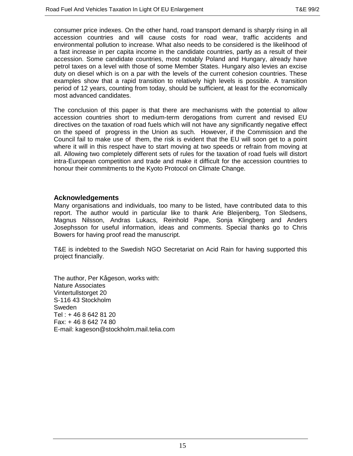consumer price indexes. On the other hand, road transport demand is sharply rising in all accession countries and will cause costs for road wear, traffic accidents and environmental pollution to increase. What also needs to be considered is the likelihood of a fast increase in per capita income in the candidate countries, partly as a result of their accession. Some candidate countries, most notably Poland and Hungary, already have petrol taxes on a level with those of some Member States. Hungary also levies an excise duty on diesel which is on a par with the levels of the current cohesion countries. These examples show that a rapid transition to relatively high levels is possible. A transition period of 12 years, counting from today, should be sufficient, at least for the economically most advanced candidates.

The conclusion of this paper is that there are mechanisms with the potential to allow accession countries short to medium-term derogations from current and revised EU directives on the taxation of road fuels which will not have any significantly negative effect on the speed of progress in the Union as such. However, if the Commission and the Council fail to make use of them, the risk is evident that the EU will soon get to a point where it will in this respect have to start moving at two speeds or refrain from moving at all. Allowing two completely different sets of rules for the taxation of road fuels will distort intra-European competition and trade and make it difficult for the accession countries to honour their commitments to the Kyoto Protocol on Climate Change.

#### **Acknowledgements**

Many organisations and individuals, too many to be listed, have contributed data to this report. The author would in particular like to thank Arie Bleijenberg, Ton Sledsens, Magnus Nilsson, Andras Lukacs, Reinhold Pape, Sonja Klingberg and Anders Josephsson for useful information, ideas and comments. Special thanks go to Chris Bowers for having proof read the manuscript.

T&E is indebted to the Swedish NGO Secretariat on Acid Rain for having supported this project financially.

The author, Per Kågeson, works with: Nature Associates Vintertullstorget 20 S-116 43 Stockholm Sweden Tel : + 46 8 642 81 20 Fax: + 46 8 642 74 80 E-mail: kageson@stockholm.mail.telia.com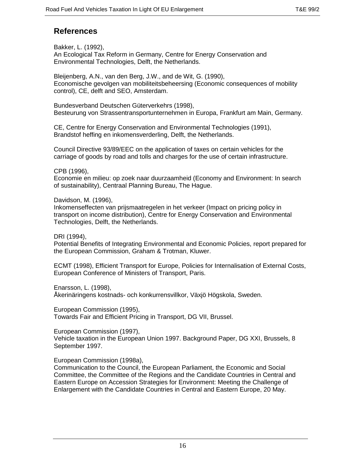## **References**

Bakker, L. (1992), An Ecological Tax Reform in Germany, Centre for Energy Conservation and Environmental Technologies, Delft, the Netherlands.

Bleijenberg, A.N., van den Berg, J.W., and de Wit, G. (1990), Economische gevolgen van mobiliteitsbeheersing (Economic consequences of mobility control), CE, delft and SEO, Amsterdam.

Bundesverband Deutschen Güterverkehrs (1998), Besteurung von Strassentransportunternehmen in Europa, Frankfurt am Main, Germany.

CE, Centre for Energy Conservation and Environmental Technologies (1991), Brandstof heffing en inkomensverderling, Delft, the Netherlands.

Council Directive 93/89/EEC on the application of taxes on certain vehicles for the carriage of goods by road and tolls and charges for the use of certain infrastructure.

CPB (1996),

Economie en milieu: op zoek naar duurzaamheid (Economy and Environment: In search of sustainability), Centraal Planning Bureau, The Hague.

Davidson, M. (1996),

Inkomenseffecten van prijsmaatregelen in het verkeer (Impact on pricing policy in transport on income distribution), Centre for Energy Conservation and Environmental Technologies, Delft, the Netherlands.

DRI (1994),

Potential Benefits of Integrating Environmental and Economic Policies, report prepared for the European Commission, Graham & Trotman, Kluwer.

ECMT (1998), Efficient Transport for Europe, Policies for Internalisation of External Costs, European Conference of Ministers of Transport, Paris.

Enarsson, L. (1998),

Åkerinäringens kostnads- och konkurrensvillkor, Växjö Högskola, Sweden.

European Commission (1995), Towards Fair and Efficient Pricing in Transport, DG VII, Brussel.

European Commission (1997), Vehicle taxation in the European Union 1997. Background Paper, DG XXI, Brussels, 8 September 1997.

European Commission (1998a),

Communication to the Council, the European Parliament, the Economic and Social Committee, the Committee of the Regions and the Candidate Countries in Central and Eastern Europe on Accession Strategies for Environment: Meeting the Challenge of Enlargement with the Candidate Countries in Central and Eastern Europe, 20 May.